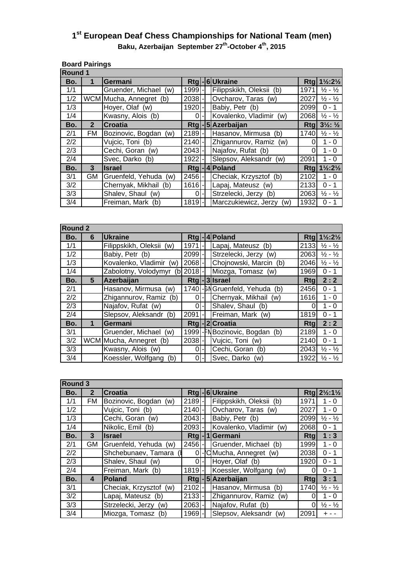## Baku, Azerbaijan September 27<sup>th</sup>-October 4<sup>th</sup>, 2015 **1st European Deaf Chess Championships for National Team (men)**

|                | <b>Board Pairings</b> |                          |          |  |                             |      |                                                                    |
|----------------|-----------------------|--------------------------|----------|--|-----------------------------|------|--------------------------------------------------------------------|
| <b>Round 1</b> |                       |                          |          |  |                             |      |                                                                    |
| Bo.            | 1                     | Germani                  |          |  | Rtg-6Ukraine                |      | $Rtq$ 1 <sup>1</sup> / <sub>2</sub> :2 <sup>1</sup> / <sub>2</sub> |
| 1/1            |                       | Gruender, Michael (w)    | 1999-    |  | Filippskikh, Oleksii (b)    | 1971 | $\frac{1}{2}$ - $\frac{1}{2}$                                      |
| 1/2            |                       | WCM Mucha, Annegret (b)  | $2038 -$ |  | Ovcharov, Taras (w)         | 2027 | $\frac{1}{2} - \frac{1}{2}$                                        |
| 1/3            |                       | Hoyer, Olaf (w)          | 1920-    |  | Babiy, Petr (b)             | 2099 | $0 - 1$                                                            |
| 1/4            |                       | Kwasny, Alois (b)        | 0I-l     |  | Kovalenko, Vladimir (w)     | 2068 | $\frac{1}{2} - \frac{1}{2}$                                        |
| Bo.            | $\mathbf{2}$          | <b>Croatia</b>           |          |  | Rtg - 5 Azerbaijan          | Rtal | $3\frac{1}{2}$ : $\frac{1}{2}$                                     |
| 2/1            | <b>FM</b>             | Bozinovic, Bogdan (w)    | $2189 -$ |  | Hasanov, Mirmusa (b)        | 1740 | $\frac{1}{2} - \frac{1}{2}$                                        |
| 2/2            |                       | Vujcic, Toni (b)         | $2140$ - |  | Zhigannurov, Ramiz (w)      | 0    | 1 - 0                                                              |
| 2/3            |                       | Cechi, Goran (w)         | $2043$ - |  | Najafov, Rufat (b)          |      | 1 - 0                                                              |
| 2/4            |                       | Svec, Darko (b)          | 1922-    |  | Slepsov, Aleksandr (w)      | 2091 | $1 - 0$                                                            |
| Bo.            | 3                     | <b>Israel</b>            |          |  | Rtg  - 4 Poland             |      | $Rtq$ 1 <sup>1</sup> / <sub>2</sub> :2 <sup>1</sup> / <sub>2</sub> |
| 3/1            | GM                    | Gruenfeld, Yehuda<br>(w) | $2456$ - |  | Checiak, Krzysztof (b)      | 2102 | 1 - 0                                                              |
| 3/2            |                       | Chernyak, Mikhail (b)    | $1616$ - |  | Lapaj, Mateusz (w)          | 2133 | $0 - 1$                                                            |
| 3/3            |                       | Shalev, Shaul (w)        | ΟI       |  | Strzelecki, Jerzy (b)       | 2063 | $\frac{1}{2} - \frac{1}{2}$                                        |
| 3/4            |                       | Freiman, Mark (b)        | $1819 -$ |  | Marczukiewicz, Jerzy<br>(w) | 1932 | $0 - 1$                                                            |

| <b>Round 2</b> |   |                            |          |                          |                                  |      |                                     |
|----------------|---|----------------------------|----------|--------------------------|----------------------------------|------|-------------------------------------|
| Bo.            | 6 | <b>Ukraine</b>             |          |                          | Rtg - 4 Poland                   |      | Rtg $1\frac{1}{2}$ :2 $\frac{1}{2}$ |
| 1/1            |   | Filippskikh, Oleksii (w)   | 1971     |                          | Lapaj, Mateusz (b)               | 2133 | $\frac{1}{2}$ - $\frac{1}{2}$       |
| 1/2            |   | Babiy, Petr (b)            | 2099     |                          | Strzelecki, Jerzy (w)            | 2063 | $\frac{1}{2} - \frac{1}{2}$         |
| 1/3            |   | Kovalenko, Vladimir<br>(w) | $2068 -$ |                          | Chojnowski, Marcin (b)           | 2046 | $\frac{1}{2}$ - $\frac{1}{2}$       |
| 1/4            |   | Zabolotny, Volodymyr<br>(b | $2018$ - |                          | Miozga, Tomasz (w)               | 1969 | $0 - 1$                             |
| Bo.            | 5 | Azerbaijan                 |          |                          | Rtg-3 Israel                     | Rtg  | 2:2                                 |
| 2/1            |   | Hasanov, Mirmusa (w)       |          |                          | 1740-BN Gruenfeld, Yehuda<br>(b) | 2456 | $0 - 1$                             |
| 2/2            |   | Zhigannurov, Ramiz<br>(b)  | 0        |                          | Chernyak, Mikhail (w)            | 1616 | 1 - 0                               |
| 2/3            |   | Najafov, Rufat (w)         | $\Omega$ | $\overline{\phantom{a}}$ | Shalev, Shaul (b)                |      | 1 - 0                               |
| 2/4            |   | Slepsov, Aleksandr (b)     | 2091     |                          | Freiman, Mark (w)                | 1819 | $0 - 1$                             |
| Bo.            | 1 | Germani                    |          |                          | Rtgl-2Croatia                    | Rtal | 2:2                                 |
| 3/1            |   | Gruender, Michael (w)      |          |                          | 1999 - FN Bozinovic, Bogdan (b)  | 2189 | 1 - 0                               |
| 3/2            |   | WCM Mucha, Annegret (b)    | $2038 -$ |                          | Vujcic, Toni (w)                 | 2140 | $0 - 1$                             |
| 3/3            |   | Kwasny, Alois (w)          | 0        |                          | Cechi, Goran (b)                 | 2043 | $\frac{1}{2} - \frac{1}{2}$         |
| 3/4            |   | Koessler, Wolfgang<br>(b)  |          |                          | Svec, Darko<br>(w)               | 1922 | $\frac{1}{2}$ - $\frac{1}{2}$       |

| <b>Round 3</b> |              |                           |          |  |                           |      |                                                                    |
|----------------|--------------|---------------------------|----------|--|---------------------------|------|--------------------------------------------------------------------|
| Bo.            | $\mathbf{2}$ | <b>Croatia</b>            |          |  | Rtg - 6 Ukraine           |      | $Rtg$ 2 <sup>1</sup> / <sub>2</sub> :1 <sup>1</sup> / <sub>2</sub> |
| 1/1            | FM           | Bozinovic, Bogdan<br>(w)  | $2189 -$ |  | Filippskikh, Oleksii (b)  | 1971 | 1 - 0                                                              |
| 1/2            |              | Vujcic, Toni (b)          | $2140 -$ |  | Ovcharov, Taras (w)       | 2027 | $1 - 0$                                                            |
| 1/3            |              | Cechi, Goran<br>(w)       | $2043$ - |  | Babiy, Petr (b)           | 2099 | $\frac{1}{2} - \frac{1}{2}$                                        |
| 1/4            |              | Nikolic, Emil (b)         | 2093-    |  | Kovalenko, Vladimir (w)   | 2068 | $0 - 1$                                                            |
| Bo.            | 3            | <b>Israel</b>             |          |  | Rtgl-1 Germani            | Rtal | 1:3                                                                |
| 2/1            | GM           | Gruenfeld, Yehuda (w)     | 2456     |  | Gruender, Michael<br>(b)  | 1999 | $1 - 0$                                                            |
| 2/2            |              | Shchebunaev, Tamara       |          |  | -'C Mucha, Annegret (w)   | 2038 | 0 - 1                                                              |
| 2/3            |              | Shalev, Shaul (w)         | ΩI       |  | Hoyer, Olaf (b)           | 1920 | $0 - 1$                                                            |
| 2/4            |              | Freiman, Mark (b)         | 1819     |  | Koessler, Wolfgang<br>(w) |      | $0 - 1$                                                            |
| Bo.            | 4            | Poland                    |          |  | Rtg-5 Azerbaijan          | Rtg  | 3:1                                                                |
| 3/1            |              | Checiak, Krzysztof<br>(w) | 2102     |  | Hasanov, Mirmusa (b)      | 1740 | $\frac{1}{2}$ - $\frac{1}{2}$                                      |
| 3/2            |              | Lapaj, Mateusz (b)        | $2133 -$ |  | Zhigannurov, Ramiz<br>(w) |      | 1 - 0                                                              |
| 3/3            |              | Strzelecki, Jerzy (w)     | $2063 -$ |  | Najafov, Rufat (b)        |      | $\frac{1}{2}$ - $\frac{1}{2}$                                      |
| 3/4            |              | Miozga, Tomasz (b)        | 1969     |  | Slepsov, Aleksandr<br>(w) | 2091 |                                                                    |